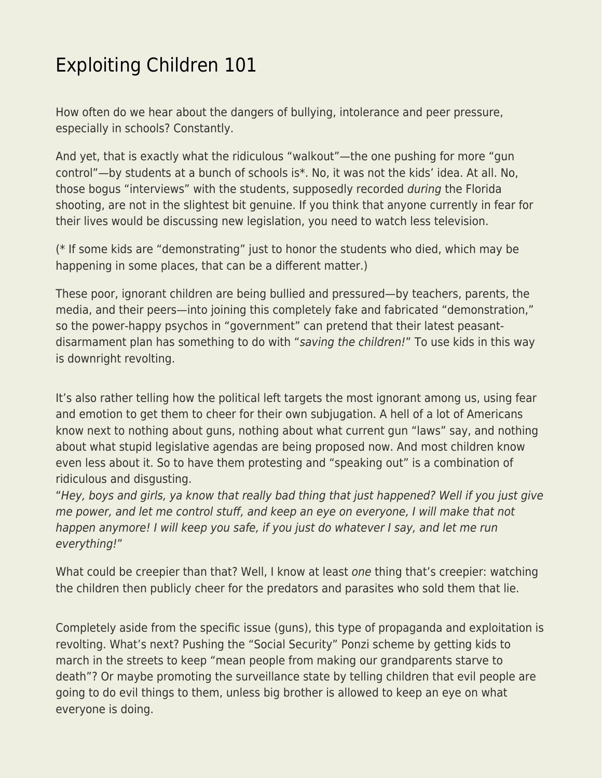## [Exploiting Children 101](https://everything-voluntary.com/exploiting-children-101)

How often do we hear about the dangers of bullying, intolerance and peer pressure, especially in schools? Constantly.

And yet, that is exactly what the ridiculous "walkout"—the one pushing for more "gun control"—by students at a bunch of schools is\*. No, it was not the kids' idea. At all. No, those bogus "interviews" with the students, supposedly recorded during the Florida shooting, are not in the slightest bit genuine. If you think that anyone currently in fear for their lives would be discussing new legislation, you need to watch less television.

(\* If some kids are "demonstrating" just to honor the students who died, which may be happening in some places, that can be a different matter.)

These poor, ignorant children are being bullied and pressured—by teachers, parents, the media, and their peers—into joining this completely fake and fabricated "demonstration," so the power-happy psychos in "government" can pretend that their latest peasantdisarmament plan has something to do with "saving the children!" To use kids in this way is downright revolting.

It's also rather telling how the political left targets the most ignorant among us, using fear and emotion to get them to cheer for their own subjugation. A hell of a lot of Americans know next to nothing about guns, nothing about what current gun "laws" say, and nothing about what stupid legislative agendas are being proposed now. And most children know even less about it. So to have them protesting and "speaking out" is a combination of ridiculous and disgusting.

"Hey, boys and girls, ya know that really bad thing that just happened? Well if you just give me power, and let me control stuff, and keep an eye on everyone, I will make that not happen anymore! I will keep you safe, if you just do whatever I say, and let me run everything!"

What could be creepier than that? Well, I know at least one thing that's creepier: watching the children then publicly cheer for the predators and parasites who sold them that lie.

Completely aside from the specific issue (guns), this type of propaganda and exploitation is revolting. What's next? Pushing the "Social Security" Ponzi scheme by getting kids to march in the streets to keep "mean people from making our grandparents starve to death"? Or maybe promoting the surveillance state by telling children that evil people are going to do evil things to them, unless big brother is allowed to keep an eye on what everyone is doing.